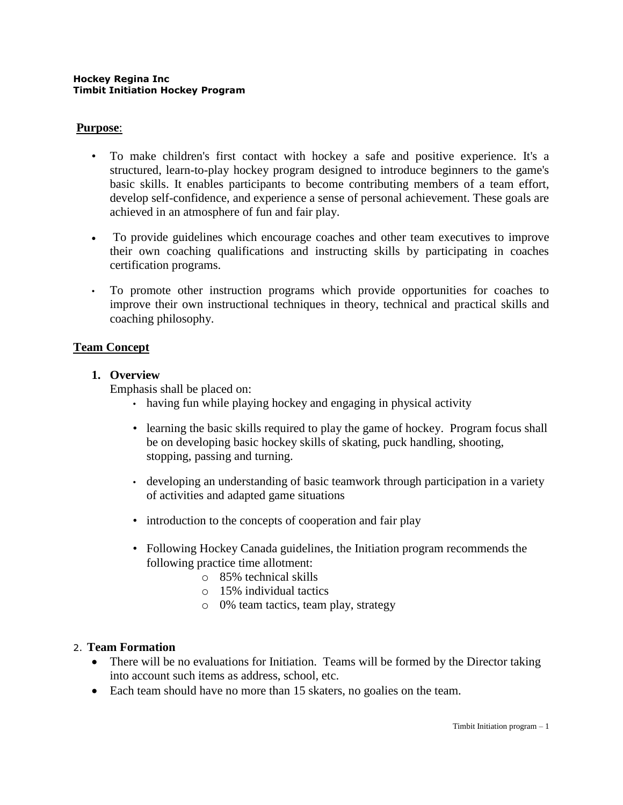### **Purpose**:

- To make children's first contact with hockey a safe and positive experience. It's a structured, learn-to-play hockey program designed to introduce beginners to the game's basic skills. It enables participants to become contributing members of a team effort, develop self-confidence, and experience a sense of personal achievement. These goals are achieved in an atmosphere of fun and fair play.
- To provide guidelines which encourage coaches and other team executives to improve their own coaching qualifications and instructing skills by participating in coaches certification programs.
- To promote other instruction programs which provide opportunities for coaches to improve their own instructional techniques in theory, technical and practical skills and coaching philosophy.

## **Team Concept**

#### **1. Overview**

Emphasis shall be placed on:

- having fun while playing hockey and engaging in physical activity
- learning the basic skills required to play the game of hockey. Program focus shall be on developing basic hockey skills of skating, puck handling, shooting, stopping, passing and turning.
- developing an understanding of basic teamwork through participation in a variety of activities and adapted game situations
- introduction to the concepts of cooperation and fair play
- Following Hockey Canada guidelines, the Initiation program recommends the following practice time allotment:
	- o 85% technical skills
	- o 15% individual tactics
	- o 0% team tactics, team play, strategy

#### 2. **Team Formation**

- There will be no evaluations for Initiation. Teams will be formed by the Director taking into account such items as address, school, etc.
- Each team should have no more than 15 skaters, no goalies on the team.